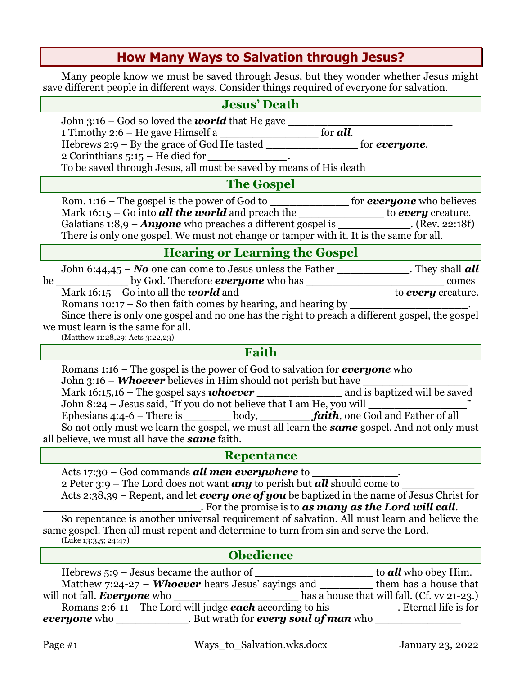# **How Many Ways to Salvation through Jesus?**

Many people know we must be saved through Jesus, but they wonder whether Jesus might save different people in different ways. Consider things required of everyone for salvation.

## **Jesus' Death** John 3:16 – God so loved the *world* that He gave 1 Timothy 2:6 – He gave Himself a \_\_\_\_\_\_\_\_\_\_\_\_\_\_\_\_\_\_\_\_\_ for **all**. Hebrews 2:9 – By the grace of God He tasted \_\_\_\_\_\_\_\_\_\_\_\_\_\_ for *everyone*. 2 Corinthians 5:15 – He died for *\_\_\_\_\_\_\_\_\_\_\_*. To be saved through Jesus, all must be saved by means of His death **The Gospel** Rom. 1:16 – The gospel is the power of God to \_\_\_\_\_\_\_\_\_\_\_\_\_\_\_\_\_\_\_\_\_ for *everyone* who believes Mark 16:15 – Go into *all the world* and preach the \_\_\_\_\_\_\_\_\_\_\_\_\_ to *every* creature. Galatians 1:8,9 – *Anyone* who preaches a different gospel is \_\_\_\_\_\_\_\_\_\_\_\_. (Rev. 22:18f) There is only one gospel. We must not change or tamper with it. It is the same for all. **Hearing or Learning the Gospel**

John 6:44,45 – *No* one can come to Jesus unless the Father \_\_\_\_\_\_\_\_\_\_\_\_\_\_\_\_. They shall **all** be \_\_\_\_\_\_\_\_\_\_\_ by God. Therefore *everyone* who has \_\_\_\_\_\_\_\_\_\_\_\_\_\_\_\_\_\_\_\_\_ comes Mark 16:15 – Go into all the *world* and \_\_\_\_\_\_\_\_\_\_\_\_\_\_\_\_\_\_\_\_\_\_\_ to *every* creature. Romans  $10:17$  – So then faith comes by hearing, and hearing by Since there is only one gospel and no one has the right to preach a different gospel, the gospel we must learn is the same for all.

(Matthew 11:28,29; Acts 3:22,23)

#### **Faith**

Romans 1:16 – The gospel is the power of God to salvation for *everyone* who John 3:16 – *Whoever* believes in Him should not perish but have \_\_\_\_\_\_\_\_\_\_\_\_\_\_\_\_ Mark  $16:15,16$  – The gospel says *whoever* John 8:24 – Jesus said, "If you do not believe that I am He, you will Ephesians 4:4-6 – There is \_\_\_\_\_\_\_ body, *\_\_\_\_\_\_\_ faith*, one God and Father of all So not only must we learn the gospel, we must all learn the *same* gospel. And not only must all believe, we must all have the *same* faith.

#### **Repentance**

Acts 17:30 – God commands **all men everywhere** to 2 Peter 3:9 – The Lord does not want **any** to perish but **all** should come to Acts 2:38,39 – Repent, and let *every one of you* be baptized in the name of Jesus Christ for \_\_\_\_\_\_\_\_\_\_\_\_\_\_\_\_\_\_\_\_\_\_\_\_. For the promise is to *as many as the Lord will call*.

So repentance is another universal requirement of salvation. All must learn and believe the same gospel. Then all must repent and determine to turn from sin and serve the Lord. (Luke 13:3,5; 24:47)

### **Obedience**

| Hebrews $5:9$ – Jesus became the author of                       |                                       |                                             | to <b>all</b> who obey Him. |
|------------------------------------------------------------------|---------------------------------------|---------------------------------------------|-----------------------------|
| Matthew 7:24-27 – <b>Whoever</b> hears Jesus' sayings and        |                                       |                                             | them has a house that       |
| will not fall. <b>Everyone</b> who                               |                                       | has a house that will fall. (Cf. vv 21-23.) |                             |
| Romans 2:6-11 – The Lord will judge <b>each</b> according to his |                                       |                                             | . Eternal life is for       |
| <b>everyone</b> who                                              | . But wrath for every soul of man who |                                             |                             |